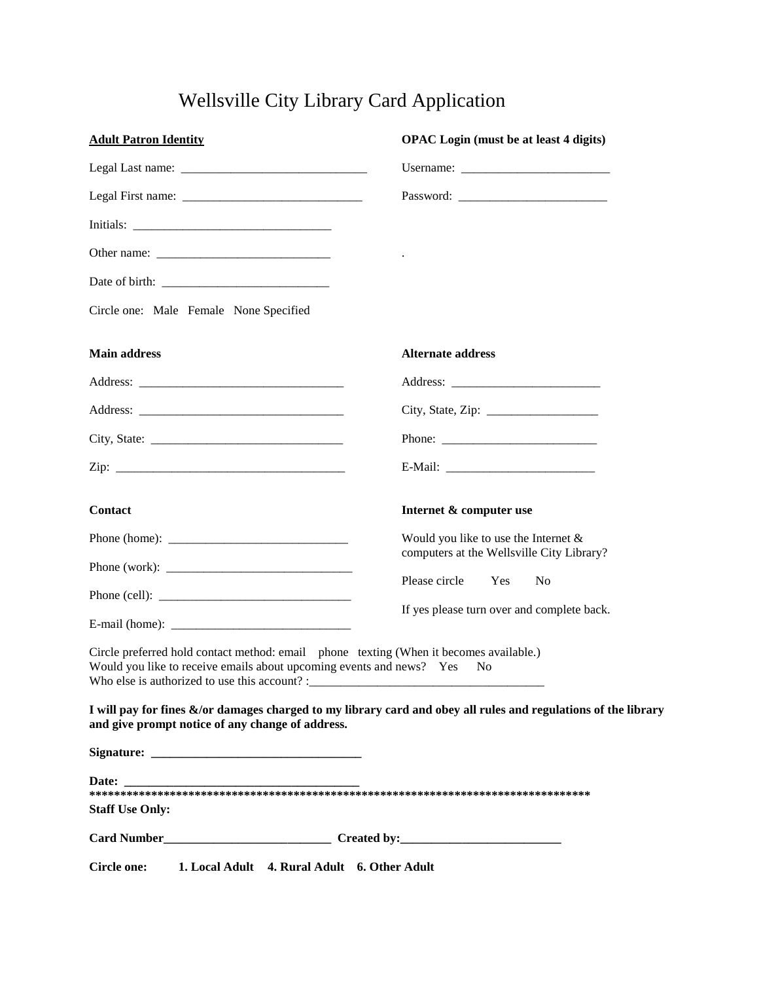## Wellsville City Library Card Application

| <b>Adult Patron Identity</b>                                                                                                                                                                                                                                                                          | <b>OPAC</b> Login (must be at least 4 digits)                                                                  |
|-------------------------------------------------------------------------------------------------------------------------------------------------------------------------------------------------------------------------------------------------------------------------------------------------------|----------------------------------------------------------------------------------------------------------------|
|                                                                                                                                                                                                                                                                                                       | Username:                                                                                                      |
|                                                                                                                                                                                                                                                                                                       |                                                                                                                |
|                                                                                                                                                                                                                                                                                                       |                                                                                                                |
|                                                                                                                                                                                                                                                                                                       |                                                                                                                |
|                                                                                                                                                                                                                                                                                                       |                                                                                                                |
| Circle one: Male Female None Specified                                                                                                                                                                                                                                                                |                                                                                                                |
| <b>Main address</b>                                                                                                                                                                                                                                                                                   | <b>Alternate address</b>                                                                                       |
|                                                                                                                                                                                                                                                                                                       |                                                                                                                |
|                                                                                                                                                                                                                                                                                                       | City, State, Zip: $\frac{1}{2}$                                                                                |
|                                                                                                                                                                                                                                                                                                       |                                                                                                                |
|                                                                                                                                                                                                                                                                                                       |                                                                                                                |
| <b>Contact</b>                                                                                                                                                                                                                                                                                        | Internet & computer use                                                                                        |
| Phone (home): $\frac{1}{2}$ = $\frac{1}{2}$ = $\frac{1}{2}$ = $\frac{1}{2}$ = $\frac{1}{2}$ = $\frac{1}{2}$ = $\frac{1}{2}$ = $\frac{1}{2}$ = $\frac{1}{2}$ = $\frac{1}{2}$ = $\frac{1}{2}$ = $\frac{1}{2}$ = $\frac{1}{2}$ = $\frac{1}{2}$ = $\frac{1}{2}$ = $\frac{1}{2}$ = $\frac{1}{2}$ = $\frac$ | Would you like to use the Internet $&$<br>computers at the Wellsville City Library?                            |
|                                                                                                                                                                                                                                                                                                       | Please circle<br>Yes<br>N <sub>o</sub>                                                                         |
|                                                                                                                                                                                                                                                                                                       | If yes please turn over and complete back.                                                                     |
| Circle preferred hold contact method: email phone texting (When it becomes available.)<br>Would you like to receive emails about upcoming events and news? Yes                                                                                                                                        | N <sub>0</sub>                                                                                                 |
| and give prompt notice of any change of address.                                                                                                                                                                                                                                                      | I will pay for fines &/or damages charged to my library card and obey all rules and regulations of the library |
|                                                                                                                                                                                                                                                                                                       |                                                                                                                |
| <b>Staff Use Only:</b>                                                                                                                                                                                                                                                                                |                                                                                                                |
|                                                                                                                                                                                                                                                                                                       |                                                                                                                |
| Circle one: 1. Local Adult 4. Rural Adult 6. Other Adult                                                                                                                                                                                                                                              |                                                                                                                |